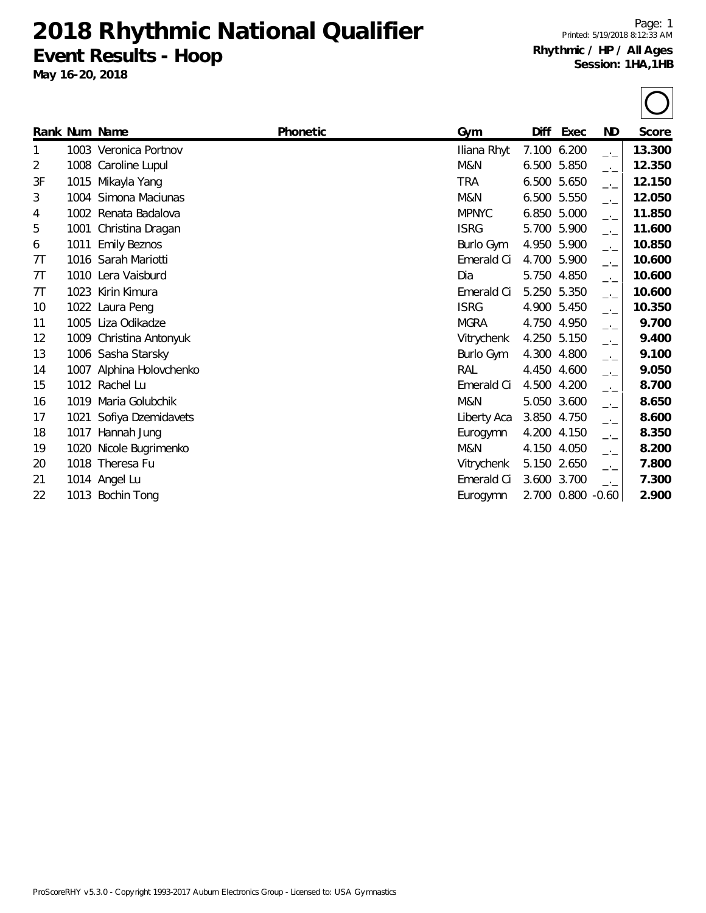**Event Results - Hoop**

**May 16-20, 2018**

Page: 1 Printed: 5/19/2018 8:12:33 AM **Rhythmic / HP / All Ages Session: 1HA,1HB**

|    |      | Rank Num Name           | Phonetic | Gym          | Diff        | Exec        | ND            | Score  |
|----|------|-------------------------|----------|--------------|-------------|-------------|---------------|--------|
| 1  |      | 1003 Veronica Portnov   |          | Iliana Rhyt  | 7.100       | 6.200       | $-1$          | 13.300 |
| 2  |      | 1008 Caroline Lupul     |          | M&N          | 6.500       | 5.850       | $\rightarrow$ | 12.350 |
| 3F |      | 1015 Mikayla Yang       |          | <b>TRA</b>   |             | 6.500 5.650 | $-1$          | 12.150 |
| 3  |      | 1004 Simona Maciunas    |          | M&N          |             | 6.500 5.550 | $-1$          | 12.050 |
| 4  |      | 1002 Renata Badalova    |          | <b>MPNYC</b> |             | 6.850 5.000 | $-1$          | 11.850 |
| 5  | 1001 | Christina Dragan        |          | <b>ISRG</b>  |             | 5.700 5.900 | $-1$          | 11.600 |
| 6  | 1011 | <b>Emily Beznos</b>     |          | Burlo Gym    |             | 4.950 5.900 | $-1$          | 10.850 |
| 7T |      | 1016 Sarah Mariotti     |          | Emerald Ci   | 4.700       | 5.900       | $-1$          | 10.600 |
| 7Т |      | 1010 Lera Vaisburd      |          | Dia          |             | 5.750 4.850 | $-1$          | 10.600 |
| 7Τ | 1023 | Kirin Kimura            |          | Emerald Ci   | 5.250       | 5.350       | $-1$          | 10.600 |
| 10 |      | 1022 Laura Peng         |          | <b>ISRG</b>  |             | 4.900 5.450 | —'—           | 10.350 |
| 11 |      | 1005 Liza Odikadze      |          | <b>MGRA</b>  |             | 4.750 4.950 | —'—           | 9.700  |
| 12 |      | 1009 Christina Antonyuk |          | Vitrychenk   |             | 4.250 5.150 | —'—           | 9.400  |
| 13 |      | 1006 Sasha Starsky      |          | Burlo Gym    | 4.300       | 4.800       | —'—           | 9.100  |
| 14 | 1007 | Alphina Holovchenko     |          | RAL          | 4.450 4.600 |             | $-1$          | 9.050  |
| 15 |      | 1012 Rachel Lu          |          | Emerald Ci   |             | 4.500 4.200 | $-1$          | 8.700  |
| 16 | 1019 | Maria Golubchik         |          | M&N          |             | 5.050 3.600 | $-1$          | 8.650  |
| 17 | 1021 | Sofiya Dzemidavets      |          | Liberty Aca  | 3.850       | 4.750       | $-1$          | 8.600  |
| 18 | 1017 | Hannah Jung             |          | Eurogymn     | 4.200       | 4.150       | —'—           | 8.350  |
| 19 | 1020 | Nicole Bugrimenko       |          | M&N          | 4.150       | 4.050       | —'—           | 8.200  |
| 20 |      | 1018 Theresa Fu         |          | Vitrychenk   | 5.150 2.650 |             | $-1$          | 7.800  |

- 21 1014 Angel Lu Emerald Ci 3.600 3.700 \_.\_ **7.300**
- 22 1013 Bochin Tong Eurogymn 2.700 0.800 -0.60 **2.900**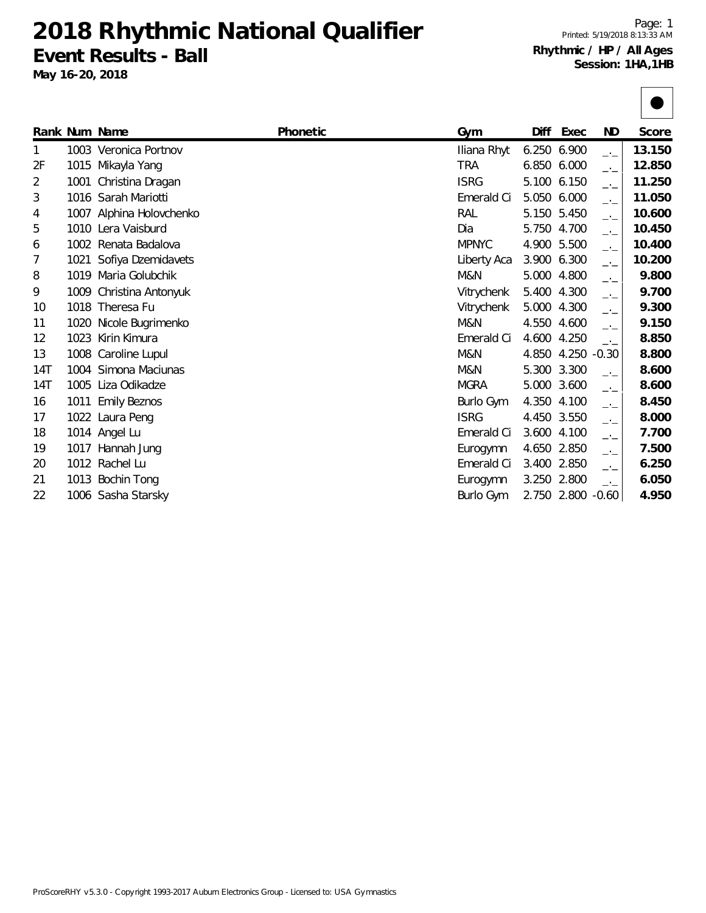**Event Results - Ball**

Page: 1 Printed: 5/19/2018 8:13:33 AM **Rhythmic / HP / All Ages Session: 1HA,1HB**

| _ ,<br>May 16-20, 2018 |  |                          |                 |              |             |               | Session: 1HA,1HB |  |  |
|------------------------|--|--------------------------|-----------------|--------------|-------------|---------------|------------------|--|--|
|                        |  |                          |                 |              |             |               |                  |  |  |
|                        |  | Rank Num Name            | <b>Phonetic</b> | Gym          | Diff Exec   | ND.           | Score            |  |  |
|                        |  | 1003 Veronica Portnov    |                 | Iliana Rhyt  | 6.250 6.900 | $\rightarrow$ | 13.150           |  |  |
| 2F                     |  | 1015 Mikayla Yang        |                 | <b>TRA</b>   | 6.850 6.000 |               | 12.850           |  |  |
| $\overline{2}$         |  | 1001 Christina Dragan    |                 | <b>ISRG</b>  | 5.100 6.150 | $\rightarrow$ | 11.250           |  |  |
| 3                      |  | 1016 Sarah Mariotti      |                 | Emerald Ci   | 5.050 6.000 | $\rightarrow$ | 11.050           |  |  |
| $\overline{4}$         |  | 1007 Alphina Holovchenko |                 | RAL          | 5.150 5.450 | $\rightarrow$ | 10.600           |  |  |
| 5                      |  | 1010 Lera Vaisburd       |                 | Dia          | 5.750 4.700 | $\rightarrow$ | 10.450           |  |  |
| 6                      |  | 1002 Renata Badalova     |                 | <b>MPNYC</b> | 4.900 5.500 |               | 10.400           |  |  |

| 2F  |      | 1015 Mikayla Yang        | TRA          | 6.850 6.000 |                   |           | 12.850 |
|-----|------|--------------------------|--------------|-------------|-------------------|-----------|--------|
| 2   |      | 1001 Christina Dragan    | <b>ISRG</b>  | 5.100 6.150 |                   | $-1$      | 11.250 |
| 3   |      | 1016 Sarah Mariotti      | Emerald Ci   | 5.050       | 6.000             | $-1$      | 11.050 |
| 4   |      | 1007 Alphina Holovchenko | RAL          | 5.150 5.450 |                   | $-1$      | 10.600 |
| 5   |      | 1010 Lera Vaisburd       | Dia          | 5.750 4.700 |                   | $-1$      | 10.450 |
| 6   |      | 1002 Renata Badalova     | <b>MPNYC</b> | 4.900       | 5.500             | $-1$      | 10.400 |
| 7   |      | 1021 Sofiya Dzemidavets  | Liberty Aca  | 3.900       | 6.300             | $-\cdot-$ | 10.200 |
| 8   |      | 1019 Maria Golubchik     | M&N          | 5.000       | 4.800             | $-1$      | 9.800  |
| 9   |      | 1009 Christina Antonyuk  | Vitrychenk   | 5.400       | 4.300             | $-1$      | 9.700  |
| 10  |      | 1018 Theresa Fu          | Vitrychenk   | 5.000       | 4.300             | $-1$      | 9.300  |
| 11  |      | 1020 Nicole Bugrimenko   | M&N          | 4.550       | 4.600             | $-1$      | 9.150  |
| 12  |      | 1023 Kirin Kimura        | Emerald Ci   | 4.600       | 4.250             | $-1$      | 8.850  |
| 13  |      | 1008 Caroline Lupul      | M&N          | 4.850       | 4.250             | $-0.30$   | 8.800  |
| 14T |      | 1004 Simona Maciunas     | M&N          | 5.300 3.300 |                   | $-1$      | 8.600  |
| 14T |      | 1005 Liza Odikadze       | <b>MGRA</b>  | 5.000 3.600 |                   | $-1$      | 8.600  |
| 16  | 1011 | <b>Emily Beznos</b>      | Burlo Gym    | 4.350       | 4.100             | $-1$      | 8.450  |
| 17  |      | 1022 Laura Peng          | <b>ISRG</b>  | 4.450 3.550 |                   | $-1$      | 8.000  |
| 18  |      | 1014 Angel Lu            | Emerald Ci   | 3.600       | 4.100             | $-1$      | 7.700  |
| 19  | 1017 | Hannah Jung              | Eurogymn     | 4.650       | 2.850             | $-1$      | 7.500  |
| 20  |      | 1012 Rachel Lu           | Emerald Ci   | 3.400 2.850 |                   | —'—       | 6.250  |
| 21  |      | 1013 Bochin Tong         | Eurogymn     | 3.250 2.800 |                   | $-1$      | 6.050  |
| 22  |      | 1006 Sasha Starsky       | Burlo Gym    |             | 2.750 2.800 -0.60 |           | 4.950  |
|     |      |                          |              |             |                   |           |        |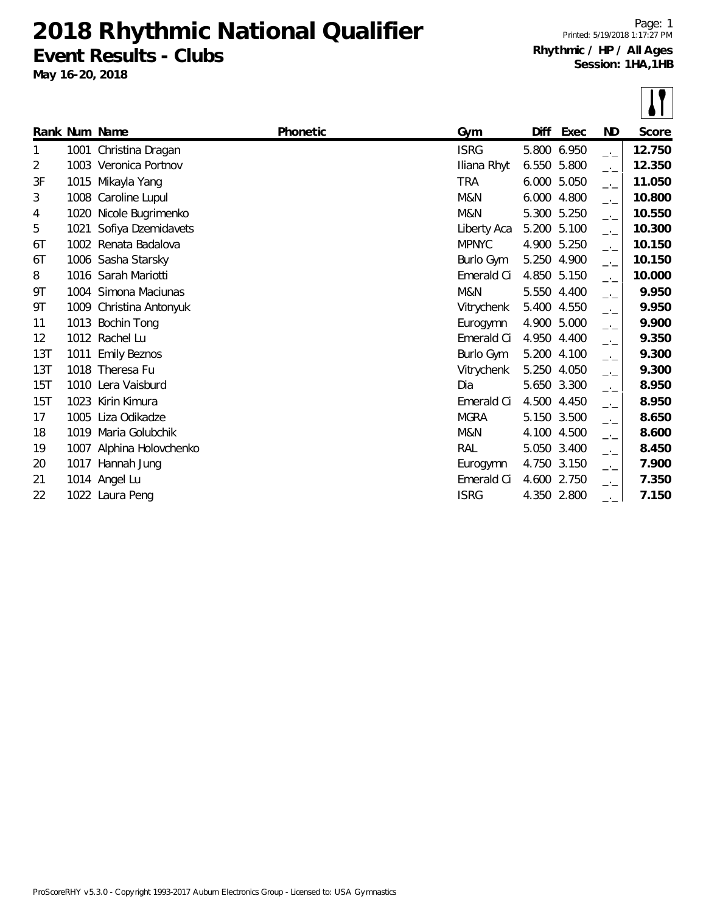**Event Results - Clubs**

**May 16-20, 2018**

Page: 1 Printed: 5/19/2018 1:17:27 PM **Rhythmic / HP / All Ages Session: 1HA,1HB**

|     |      | Rank Num Name            | Phonetic | Gym          | Diff  | Exec        | ND     | Score  |
|-----|------|--------------------------|----------|--------------|-------|-------------|--------|--------|
| 1.  |      | 1001 Christina Dragan    |          | <b>ISRG</b>  | 5.800 | 6.950       | $-1$   | 12.750 |
| 2   |      | 1003 Veronica Portnov    |          | Iliana Rhyt  | 6.550 | 5.800       | $-1$   | 12.350 |
| 3F  |      | 1015 Mikayla Yang        |          | <b>TRA</b>   | 6.000 | 5.050       | $-1$   | 11.050 |
| 3   | 1008 | Caroline Lupul           |          | M&N          | 6.000 | 4.800       | $\Box$ | 10.800 |
| 4   | 1020 | Nicole Bugrimenko        |          | M&N          | 5.300 | 5.250       | $\Box$ | 10.550 |
| 5   |      | 1021 Sofiya Dzemidavets  |          | Liberty Aca  | 5.200 | 5.100       | $-1$   | 10.300 |
| 6T  |      | 1002 Renata Badalova     |          | <b>MPNYC</b> | 4.900 | 5.250       | $\Box$ | 10.150 |
| 6T  |      | 1006 Sasha Starsky       |          | Burlo Gym    | 5.250 | 4.900       | $\Box$ | 10.150 |
| 8   |      | 1016 Sarah Mariotti      |          | Emerald Ci   | 4.850 | 5.150       | $\Box$ | 10.000 |
| 9Τ  | 1004 | Simona Maciunas          |          | M&N          | 5.550 | 4.400       | $-1$   | 9.950  |
| 9Τ  | 1009 | Christina Antonyuk       |          | Vitrychenk   | 5.400 | 4.550       | $ -$   | 9.950  |
| 11  |      | 1013 Bochin Tong         |          | Eurogymn     | 4.900 | 5.000       | $-1$   | 9.900  |
| 12  |      | 1012 Rachel Lu           |          | Emerald Ci   | 4.950 | 4.400       | $-1$   | 9.350  |
| 13T | 1011 | <b>Emily Beznos</b>      |          | Burlo Gym    | 5.200 | 4.100       | $-1$   | 9.300  |
| 13T |      | 1018 Theresa Fu          |          | Vitrychenk   | 5.250 | 4.050       | $-1$   | 9.300  |
| 15T |      | 1010 Lera Vaisburd       |          | Dia          | 5.650 | 3.300       | $ -$   | 8.950  |
| 15T | 1023 | Kirin Kimura             |          | Emerald Ci   | 4.500 | 4.450       | $ -$   | 8.950  |
| 17  | 1005 | Liza Odikadze            |          | <b>MGRA</b>  | 5.150 | 3.500       | $-1$   | 8.650  |
| 18  |      | 1019 Maria Golubchik     |          | M&N          | 4.100 | 4.500       | $-1$   | 8.600  |
| 19  |      | 1007 Alphina Holovchenko |          | RAL          | 5.050 | 3.400       | $-1$   | 8.450  |
| 20  |      | 1017 Hannah Jung         |          | Eurogymn     | 4.750 | 3.150       | $ -$   | 7.900  |
| 21  |      | 1014 Angel Lu            |          | Emerald Ci   | 4.600 | 2.750       | $ -$   | 7.350  |
| 22  |      | 1022 Laura Peng          |          | <b>ISRG</b>  |       | 4.350 2.800 | $-1$   | 7.150  |